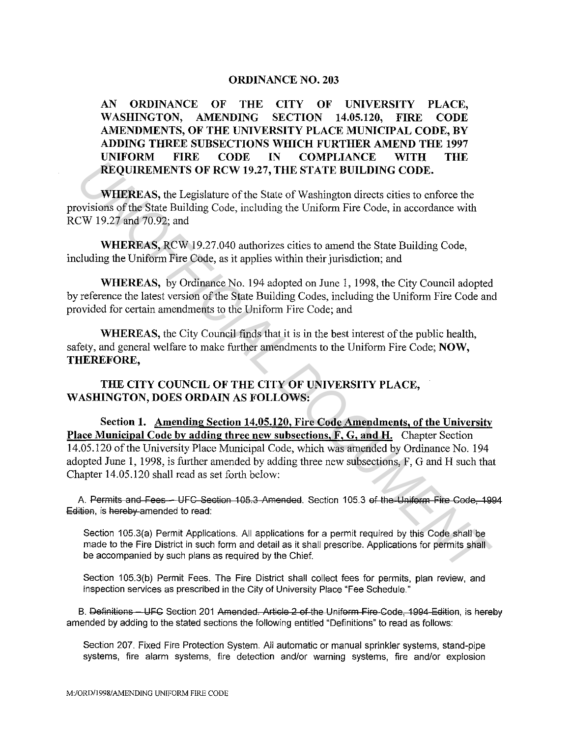## **ORDINANCE NO. 203**

**AN ORDINANCE OF THE CITY OF UNIVERSITY PLACE, WASHINGTON, AMENDING SECTION 14.05.120, FIRE CODE AMENDMENTS, OF THE UNIVERSITY PLACE MUNICIPAL CODE, BY ADDING THREE SUBSECTIONS WHICH FURTHER AMEND THE 1997 UNIFORM FIRE CODE IN COMPLIANCE WITH THE REQUIREMENTS OF RCW 19.27, THE STATE BUILDING CODE.** 

**WHEREAS,** the Legislature of the State of Washington directs cities to enforce the provisions of the State Building Code, including the Uniform Fire Code, in accordance with RCW 19.27 and 70.92; and

**WHEREAS,** RCW 19.27.040 authorizes cities to amend the State Building Code, including the Uniform Fire Code, as it applies within their jurisdiction; and

**WHEREAS,** by Ordinance No. 194 adopted on June 1, 1998, the City Council adopted by reference the latest version of the State Building Codes, including the Uniform Fire Code and provided for certain amendments to the Uniform Fire Code; and

**WHEREAS,** the City Council finds that it is in the best interest of the public health, safety, and general welfare to make further amendments to the Uniform Fire Code; **NOW, THEREFORE,** 

**THE CITY COUNCIL OF THE CITY OF UNIVERSITY PLACE, WASHINGTON, DOES ORDAIN AS FOLLOWS:** 

**Section 1. Amending Section 14.05.120, Fire Code Amendments, of the University Place Municipal Code by adding three new subsections, F, G, and H.** Chapter Section 14.05.120 of the University Place Municipal Code, which was amended by Ordinance No. 194 adopted June 1, 1998, is further amended by adding three new subsections, F, G and H such that Chapter 14.05.120 shall read as set forth below: **EXECUTIVE THE CITY OF UNIVERSITY PLACE,**<br> **UNIFORM CODE.**<br> **WHEREAS, the Legislature of the State of Washington directs cities to enforce the**<br>
covisions of the State Bullding Code, in accordance with<br>
UNIPOREAS, RCW 19.2

A. Permits and Fees - UFC Section 105.3 Amended. Section 105.3 of the Uniform Fire Code, 1994 Edition, is hereby amended to read:

Section 105.3(a) Permit Applications. All applications for a permit required by this Code shall be made to the Fire District in such form and detail as it shall prescribe. Applications for permits shall be accompanied by such plans as required by the Chief.

Section 105.3{b) Permit Fees. The Fire District shall collect fees for permits, plan review, and inspection services as prescribed in the City of University Place "Fee Schedule."

B. Definitions - UFC Section 201 Amended. Article 2 of the Uniform Fire Code, 1994 Edition, is hereby amended by adding to the stated sections the following entitled "Definitions" to read as follows:

Section 207. Fixed Fire Protection System. All automatic or manual sprinkler systems, stand-pipe systems, fire alarm systems, fire detection and/or warning systems, fire and/or explosion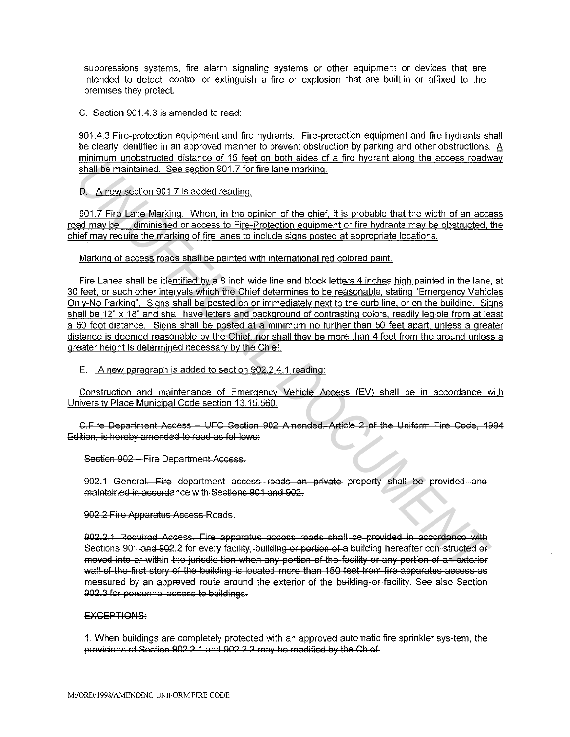suppressions systems, fire alarm signaling systems or other equipment or devices that are intended to detect, control or extinguish a fire or explosion that are built-in or affixed to the premises they protect.

C. Section 901.4.3 is amended to read:

901.4.3 Fire-protection equipment and fire hydrants. Fire-protection equipment and fire hydrants shall be clearly identified in an approved manner to prevent obstruction by parking and other obstructions. A minimum unobstructed distance of 15 feet on both sides of a fire hydrant along the access roadway shall be maintained. See section 901.7 for fire lane marking.

D. A new section 901.7 is added reading:

901.7 Fire Lane Marking. When, in the opinion of the chief, it is probable that the width of an access road may be diminished or access to Fire-Protection equipment or fire hydrants may be obstructed, the chief may require the marking of fire lanes to include signs posted at appropriate locations.

Marking of access roads shall be painted with international red colored paint.

Fire Lanes shall be identified by a 8 inch wide line and block letters 4 inches high painted in the lane, at 30 feet, or such other intervals which the Chief determines to be reasonable, stating "Emergency Vehicles Only-No Parking". Signs shall be posted on or immediately next to the curb line, or on the building. Signs shall be 12" x 18" and shall have letters and background of contrasting colors, readily legible from at least a 50 foot distance. Signs shall be posted at a minimum no further than 50 feet apart, unless a greater distance is deemed reasonable by the Chief, nor shall they be more than 4 feet from the ground unless a greater height is determined necessarv by the Chief. <u>Union of the state of the state of the state of the state of the state of the state of the state of the state of the state of the state of the state of the state of the state of the state of the state of the state of the</u>

E. A new paragraph is added to section 902.2.4.1 reading:

Construction and maintenance of Emergency Vehicle Access (EV) shall be in accordance with University Place Municipal Code section 13.15.560.

C.Fire Department Access - UFC Section 902 Amended. Article 2 of the Uniform Fire Code, 1994 Edition, is hereby amended to read as fol-lows:

Section 902 - Fire Department Access.

902.1 General. F'ire department access roads on private property shall be provided and maintained in accordance with Sections 901 and 902.

902.2 Fire Apparatus Access Roads.

902.2.1 Required Access. Fire apparatus access roads shall be provided in accordance with Sections 901 and 902.2 for every facility, building or portion of a building hereafter con-structed or moved into or within the jurisdic-tion when any portion of the facility or any portion of an exterior wall of the first story of the building is located more than 150 feet from fire apparatus access as measured by an approved route around the exterior of the building or facility. See also Section 902.3 for personnel access to buildings.

## EXCEPTIONS:

1. When buildings are completely protected with an approved automatic fire sprinkler sys-tem, the provisions of Section 902.2.1 and 902.2.2 may be modified by the Chief.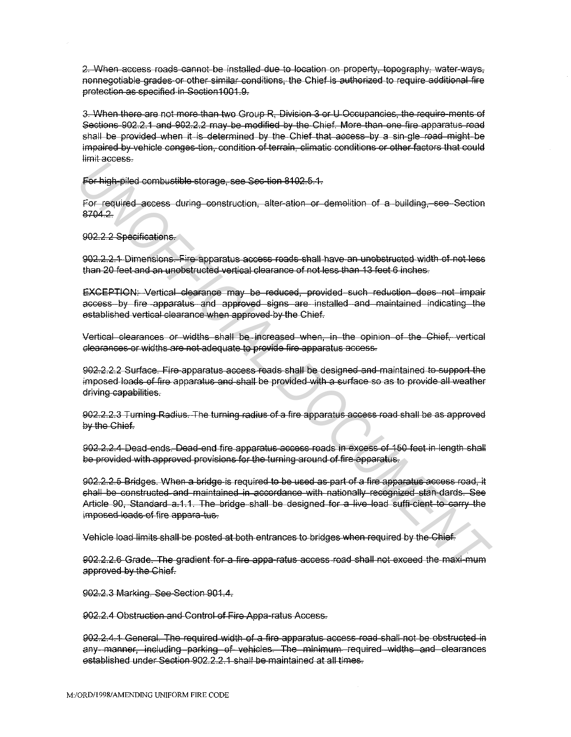2. When access roads cannot be installed due to location on property, topography, water-ways, nonnegotiable grades or other similar conditions, the Chief is authorized to require additional fire protection as specified in Section 1001.9.

3. When there are not more than two Group R. Division 3 or U Occupancies, the require-ments of Sections 902.2.1 and 902.2.2 may be modified by the Chief. More than one fire apparatus road shall be provided when it is determined by the Chief that access by a sin-gle-road might be impaired by vehicle conges-tion, condition of terrain, climatic conditions or other factors that could limit access.

For high-piled combustible storage, see Sec-tion 8102.5.1.

For required access during construction, alter-ation or demolition of a building, see Section 8704.2.

902.2.2 Specifications.

902.2.2.1 Dimensions. Fire apparatus access roads shall have an unobstructed width of not less than 20 feet and an unobstructed vertical clearance of not less than 13 feet 6 inches.

EXCEPTION: Vertical clearance may be reduced, provided such reduction does not impair access by fire apparatus and approved signs are installed and maintained indicating the established vertical clearance when approved by the Chief.

Vertical clearances or widths shall be increased when, in the opinion of the Chief, vertical clearances or widths are not adequate to provide fire apparatus access.

902.2.2.2 Surface. Fire apparatus access roads shall be designed and maintained to support the imposed loads of fire apparatus and shall be provided with a surface so as to provide all weather driving-capabilities.

902.2.2.3 Turning Radius. The turning radius of a fire apparatus access road shall be as approved by the Chief.

902.2.2.4 Dead-ends. Dead-end fire apparatus access roads in excess of 150 feet in length shall be provided with approved provisions for the turning around of fire apparatus.

902.2.2.5 Bridges. When a bridge is required to be used as part of a fire apparatus access road, it shall be constructed and maintained in accordance with nationally recognized stan-dards. See Article 90, Standard a.1.1. The bridge shall be designed for a live load suffi-cient to carry the imposed loads of fire appara-tus.

Vehicle load limits shall be posted at both entrances to bridges when required by the Chief.

902.2.2.6 Grade. The gradient for a fire appa-ratus access road shall not exceed the maxi-mum approved by the Chief.

902.2.3 Marking. See Section 901.4.

902.2.4 Obstruction and Control of Fire Appa-ratus Access.

902.2.4.1 General. The required width of a fire apparatus access road shall not be obstructed in any manner, including parking of vehicles. The minimum required widths and clearances established under Section 902.2.2.1 shall be maintained at all times.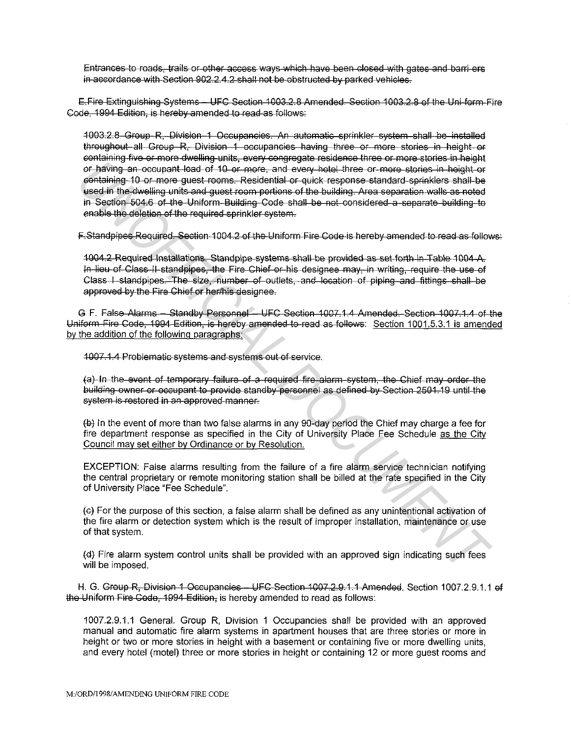Entrances to roads, trails or other access ways which have been closed with gates and barri-ers in accordance with Section  $902.24.2$  shall not be obstructed by parked vehicles-

E.Fire Extinguishing Systems - UFC Section 1003.2.8 Amended. Section 1003.2.8 of the Uni-form Fire Code. 1994 Edition. is hereby amended to read as follows:

1003.2.8 Group R. Division 1 Occupancies. An automatic sprinkler system shall be installed throughout all Group R. Division 1 occupancies having three or more stories in height or containing five or more dwelling units, every congregate residence three or more stories in height or having an occupant load of 10 or more, and every hotel three or more stories in height or containing 10 or more quest rooms. Residential or quick response standard sprinklers shall be used in the dwelling units and quest room portions of the building. Area separation walls as noted in Section 504.6 of the Uniform Building Code shall be not considered a separate building to enable the deletion of the required sprinkler system.

F-Standpipes Required. Section 1004.2 of the Uniform Fire Code is hereby amended to read as follows:

1004.2 Required Installations. Standpipe systems shall be provided as set forth in Table 1004-A. In lieu of Class II standpipes, the Fire Chief or his designee may, in writing, require the use of Class I standpipes. The size, number of outlets, and location of piping and fittings shall be approved by the Fire Chief or her/his designee.

G F. False Alarms - Standby Personnel - UFC Section 1007,1.4 Amended. Section 1007,1.4 of the Uniform Fire Code, 1994 Edition, is hereby amended to read as follows: Section 1001.5.3.1 is amended by the addition of the following paragraphs:

4007.1.4 Problematic systems and systems out of service.

(a) In the event of temporary failure of a required fire alarm system, the Chief may order the building owner or occupant to provide standby personnel as defined by Section 2501.19 until the system is restored in an approved manner.

 $\leftrightarrow$  In the event of more than two false alarms in any 90-day period the Chief may charge a fee for fire department response as specified in the City of University Place Fee Schedule as the City Council may set either by Ordinance or by Resolution.

EXCEPTION: False alarms resulting from the failure of a fire alarm service technician notifying the central proprietary or remote monitoring station shall be billed at the rate specified in the City of University Place "Fee Schedule".

(e) For the purpose of this section, a false alarm shall be defined as any unintentional activation of the fire alarm or detection system which is the result of improper installation, maintenance or use of that system.

(d) Fire alarm system control units shall be provided with an approved sign indicating such fees will be imposed.

H. G. Group R, Division 1 Occupancies - UFC-Section 1007.2.9.1.1 Amended. Section 1007.2.9.1.1 of the Uniform Fire Code, 1994 Edition, is hereby amended to read as follows:

1007.2.9.1.1 General. Group R, Division 1 Occupancies shall be provided with an approved manual and automatic fire alarm systems in apartment houses that are three stories or more in height or two or more stories in height with a basement or containing five or more dwelling units, and every hotel (motel) three or more stories in height or containing 12 or more quest rooms and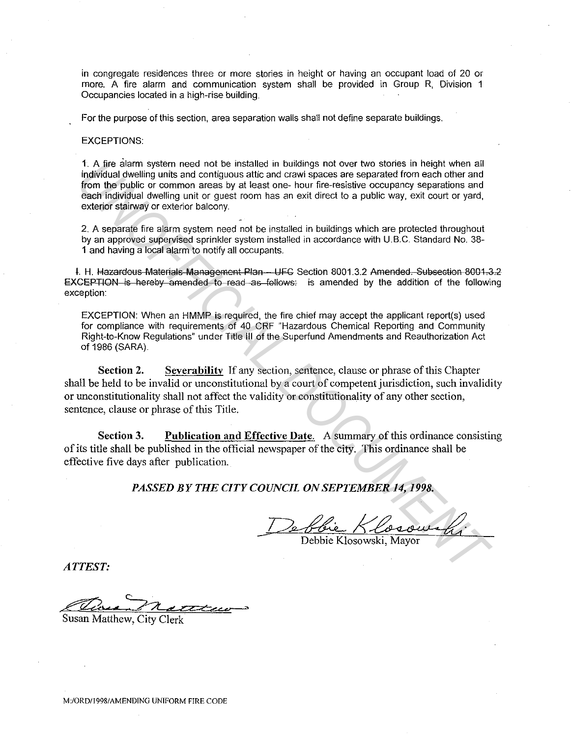in congregate residences three or more stories in height or having an occupant load of 20 or more. A fire alarm and communication system shall be provided in Group R, Division 1 Occupancies located in a high-rise building.

For the purpose of this section, area separation walls shall not define separate buildings.

## EXCEPTIONS:

1. A fire alarm system need not be installed in buildings not over two stories in height when all individual dwelling units and contiguous attic and crawl spaces are separated from each other and from the public or common areas by at least one- hour fire-resistive occupancy separations and each individual dwelling unit or guest room has an exit direct to a public way, exit court or yard, exterior stairway or exterior balcony. **1. A frie eiter may externo means they are the limitation buildings not over two stories in height when all<br>
individual dwelling units and continuous attic and crawl spaces are separated from each other and<br>
from the publ** 

2. A separate fire alarm system need not be installed in buildings which are protected throughout by an approved supervised sprinkler system installed in accordance with U.B.C. Standard No. 38- 1 and having a local alarm to notify all occupants.

I. H. Hazardous Materials Management Plan - UFC Section 8001.3.2 Amended. Subsection 8001.3.2 EXCEPTION is hereby amended to read as follows: is amended by the addition of the following exception:

EXCEPTION: When an HMMP is required, the fire chief may accept the applicant report(s) used for compliance with requirements of 40 CRF "Hazardous Chemical Reporting and Community Right-to-Know Regulations" under Title Ill of the Superfund Amendments and Reauthorization Act of 1986 (SARA).

**Section 2.** Severability If any section, sentence, clause or phrase of this Chapter shall be held to be invalid or unconstitutional by a court of competent jurisdiction, such invalidity or unconstitutionality shall not affect the validity or constitutionality of any other section, sentence, clause or phrase of this Title.

**Section 3.** Publication and Effective Date. A summary of this ordinance consisting of its title shall be published in the official newspaper of the city. This ordinance shall be effective five days after publication.

## PASSED BY THE CITY COUNCIL ON SEPTEMBER 14, 1998.

 $\frac{D_{\rm e}H}{\rm Deb}$ De <u>Phie Klosowski</u>

*ATTEST:* 

£'124' <sup>&</sup>lt;

Susan Matthew, City Clerk